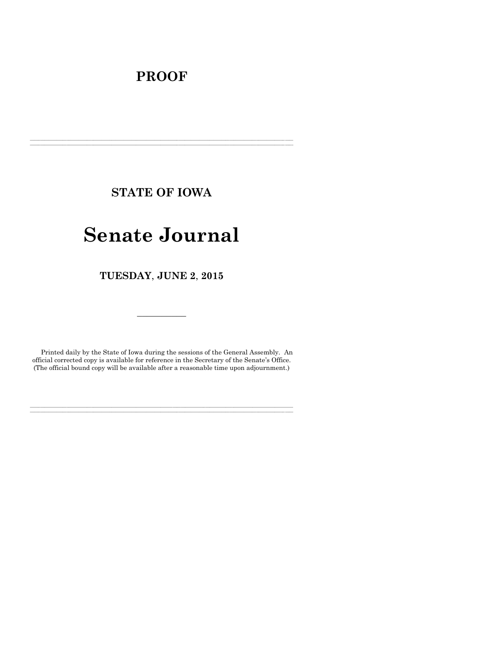# **PROOF**

**STATE OF IOWA**

**\_\_\_\_\_\_\_\_\_\_\_\_\_\_\_\_\_\_\_\_\_\_\_\_\_\_\_\_\_\_\_\_\_\_\_\_\_\_\_\_\_\_\_\_\_\_\_\_\_\_\_\_\_\_\_\_\_\_\_\_\_\_\_\_\_\_\_\_\_\_\_\_\_\_\_\_\_\_\_\_\_\_\_\_\_\_\_\_\_\_\_\_\_\_\_\_\_\_\_\_\_\_\_\_\_\_\_\_\_\_\_\_\_\_\_\_\_\_\_\_\_\_\_\_\_\_\_\_\_ \_\_\_\_\_\_\_\_\_\_\_\_\_\_\_\_\_\_\_\_\_\_\_\_\_\_\_\_\_\_\_\_\_\_\_\_\_\_\_\_\_\_\_\_\_\_\_\_\_\_\_\_\_\_\_\_\_\_\_\_\_\_\_\_\_\_\_\_\_\_\_\_\_\_\_\_\_\_\_\_\_\_\_\_\_\_\_\_\_\_\_\_\_\_\_\_\_\_\_\_\_\_\_\_\_\_\_\_\_\_\_\_\_\_\_\_\_\_\_\_\_\_\_\_\_\_\_\_\_**

# **Senate Journal**

**TUESDAY**, **JUNE 2**, **2015**

Printed daily by the State of Iowa during the sessions of the General Assembly. An official corrected copy is available for reference in the Secretary of the Senate's Office. (The official bound copy will be available after a reasonable time upon adjournment.)

**\_\_\_\_\_\_\_\_\_\_\_\_\_\_\_\_\_\_\_\_\_\_\_\_\_\_\_\_\_\_\_\_\_\_\_\_\_\_\_\_\_\_\_\_\_\_\_\_\_\_\_\_\_\_\_\_\_\_\_\_\_\_\_\_\_\_\_\_\_\_\_\_\_\_\_\_\_\_\_\_\_\_\_\_\_\_\_\_\_\_\_\_\_\_\_\_\_\_\_\_\_\_\_\_\_\_\_\_\_\_\_\_\_\_\_\_\_\_\_\_\_\_\_\_\_\_\_\_\_ \_\_\_\_\_\_\_\_\_\_\_\_\_\_\_\_\_\_\_\_\_\_\_\_\_\_\_\_\_\_\_\_\_\_\_\_\_\_\_\_\_\_\_\_\_\_\_\_\_\_\_\_\_\_\_\_\_\_\_\_\_\_\_\_\_\_\_\_\_\_\_\_\_\_\_\_\_\_\_\_\_\_\_\_\_\_\_\_\_\_\_\_\_\_\_\_\_\_\_\_\_\_\_\_\_\_\_\_\_\_\_\_\_\_\_\_\_\_\_\_\_\_\_\_\_\_\_\_\_**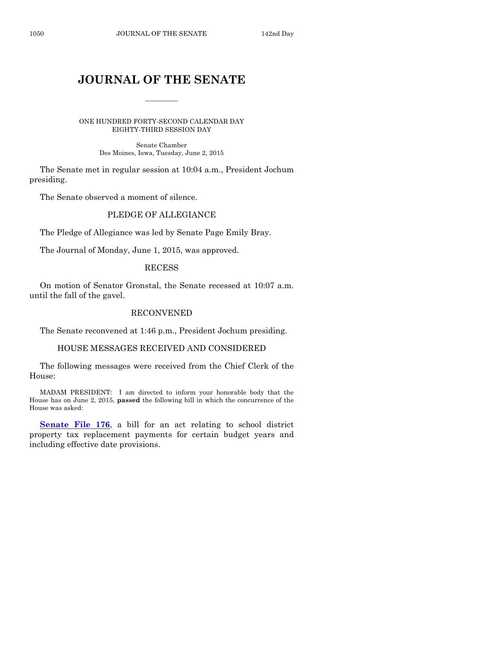# **JOURNAL OF THE SENATE**

 $\frac{1}{2}$ 

ONE HUNDRED FORTY-SECOND CALENDAR DAY EIGHTY-THIRD SESSION DAY

> Senate Chamber Des Moines, Iowa, Tuesday, June 2, 2015

The Senate met in regular session at 10:04 a.m., President Jochum presiding.

The Senate observed a moment of silence.

# PLEDGE OF ALLEGIANCE

The Pledge of Allegiance was led by Senate Page Emily Bray.

The Journal of Monday, June 1, 2015, was approved.

#### RECESS

On motion of Senator Gronstal, the Senate recessed at 10:07 a.m. until the fall of the gavel.

### RECONVENED

The Senate reconvened at 1:46 p.m., President Jochum presiding.

#### HOUSE MESSAGES RECEIVED AND CONSIDERED

The following messages were received from the Chief Clerk of the House:

MADAM PRESIDENT: I am directed to inform your honorable body that the House has on June 2, 2015, **passed** the following bill in which the concurrence of the House was asked:

**[Senate File 176](http://coolice.legis.iowa.gov/Cool-ICE/default.asp?Category=billinfo&Service=Billbook&frame=1&GA=86&hbill=SF176)**, a bill for an act relating to school district property tax replacement payments for certain budget years and including effective date provisions.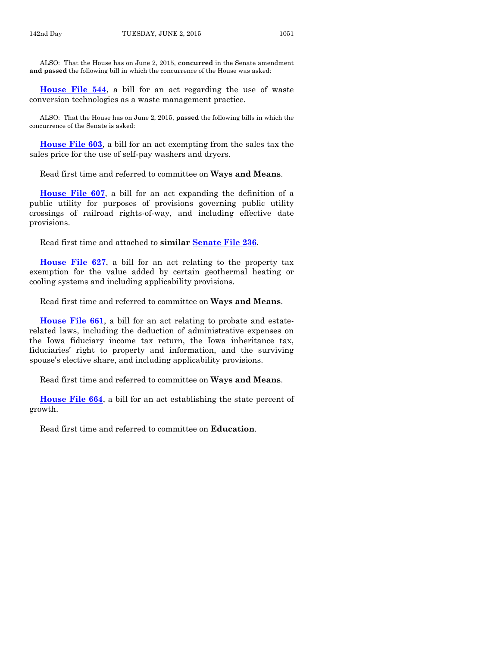ALSO: That the House has on June 2, 2015, **concurred** in the Senate amendment **and passed** the following bill in which the concurrence of the House was asked:

**[House File 544](http://coolice.legis.iowa.gov/Cool-ICE/default.asp?Category=billinfo&Service=Billbook&frame=1&GA=86&hbill=HF544)**, a bill for an act regarding the use of waste conversion technologies as a waste management practice.

ALSO: That the House has on June 2, 2015, **passed** the following bills in which the concurrence of the Senate is asked:

**[House File 603](http://coolice.legis.iowa.gov/Cool-ICE/default.asp?Category=billinfo&Service=Billbook&frame=1&GA=86&hbill=HF603)**, a bill for an act exempting from the sales tax the sales price for the use of self-pay washers and dryers.

Read first time and referred to committee on **Ways and Means**.

**[House File 607](http://coolice.legis.iowa.gov/Cool-ICE/default.asp?Category=billinfo&Service=Billbook&frame=1&GA=86&hbill=HF607)**, a bill for an act expanding the definition of a public utility for purposes of provisions governing public utility crossings of railroad rights-of-way, and including effective date provisions.

Read first time and attached to **similar [Senate File 236](http://coolice.legis.iowa.gov/Cool-ICE/default.asp?Category=billinfo&Service=Billbook&frame=1&GA=86&hbill=SF236)**.

**[House File 627](http://coolice.legis.iowa.gov/Cool-ICE/default.asp?Category=billinfo&Service=Billbook&frame=1&GA=86&hbill=HF627)**, a bill for an act relating to the property tax exemption for the value added by certain geothermal heating or cooling systems and including applicability provisions.

Read first time and referred to committee on **Ways and Means**.

**[House File 661](http://coolice.legis.iowa.gov/Cool-ICE/default.asp?Category=billinfo&Service=Billbook&frame=1&GA=86&hbill=HF661)**, a bill for an act relating to probate and estaterelated laws, including the deduction of administrative expenses on the Iowa fiduciary income tax return, the Iowa inheritance tax, fiduciaries' right to property and information, and the surviving spouse's elective share, and including applicability provisions.

Read first time and referred to committee on **Ways and Means**.

**[House File 664](http://coolice.legis.iowa.gov/Cool-ICE/default.asp?Category=billinfo&Service=Billbook&frame=1&GA=86&hbill=HF664)**, a bill for an act establishing the state percent of growth.

Read first time and referred to committee on **Education**.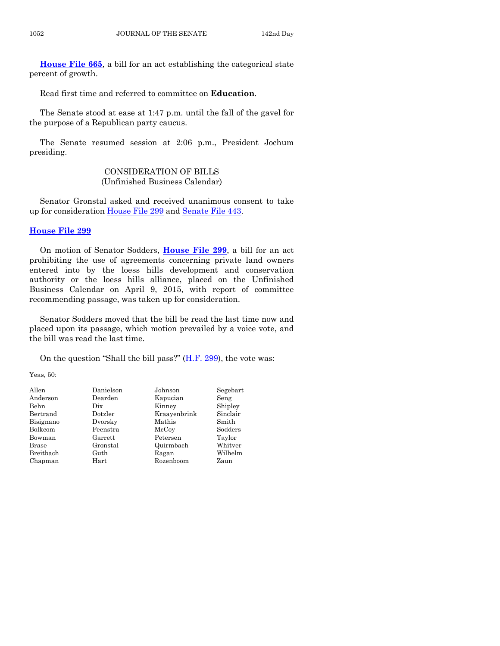**[House File 665](http://coolice.legis.iowa.gov/Cool-ICE/default.asp?Category=billinfo&Service=Billbook&frame=1&GA=86&hbill=HF665)**, a bill for an act establishing the categorical state percent of growth.

Read first time and referred to committee on **Education**.

The Senate stood at ease at 1:47 p.m. until the fall of the gavel for the purpose of a Republican party caucus.

The Senate resumed session at 2:06 p.m., President Jochum presiding.

# CONSIDERATION OF BILLS (Unfinished Business Calendar)

Senator Gronstal asked and received unanimous consent to take up for consideration [House File 299](http://coolice.legis.iowa.gov/Cool-ICE/default.asp?Category=billinfo&Service=Billbook&frame=1&GA=86&hbill=HF299) and [Senate File 443.](http://coolice.legis.iowa.gov/Cool-ICE/default.asp?Category=billinfo&Service=Billbook&frame=1&GA=86&hbill=SF443)

# **[House File 299](http://coolice.legis.iowa.gov/Cool-ICE/default.asp?Category=billinfo&Service=Billbook&frame=1&GA=86&hbill=HF299)**

On motion of Senator Sodders, **[House File 299](http://coolice.legis.iowa.gov/Cool-ICE/default.asp?Category=billinfo&Service=Billbook&frame=1&GA=86&hbill=HF299)**, a bill for an act prohibiting the use of agreements concerning private land owners entered into by the loess hills development and conservation authority or the loess hills alliance, placed on the Unfinished Business Calendar on April 9, 2015, with report of committee recommending passage, was taken up for consideration.

Senator Sodders moved that the bill be read the last time now and placed upon its passage, which motion prevailed by a voice vote, and the bill was read the last time.

On the question "Shall the bill pass?"  $(H.F. 299)$ , the vote was:

Yeas, 50:

| Allen        | Danielson | Johnson      | Segebart |
|--------------|-----------|--------------|----------|
| Anderson     | Dearden   | Kapucian     | Seng     |
| Behn         | Dix       | Kinney       | Shipley  |
| Bertrand     | Dotzler   | Kraayenbrink | Sinclair |
| Bisignano    | Dvorsky   | Mathis       | Smith    |
| Bolkcom      | Feenstra  | McCoy        | Sodders  |
| Bowman       | Garrett   | Petersen     | Taylor   |
| <b>Brase</b> | Gronstal  | Quirmbach    | Whitver  |
| Breitbach    | Guth      | Ragan        | Wilhelm  |
| Chapman      | Hart      | Rozenboom    | Zaun     |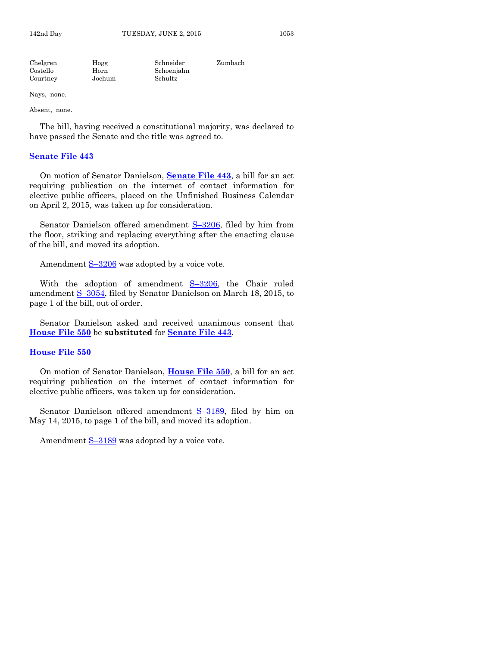| Chelgren | Hogg   | Schneider  | Zumbach |
|----------|--------|------------|---------|
| Costello | Horn   | Schoenjahn |         |
| Courtney | Jochum | Schultz    |         |
|          |        |            |         |

Absent, none.

The bill, having received a constitutional majority, was declared to have passed the Senate and the title was agreed to.

#### **[Senate File 443](http://coolice.legis.iowa.gov/Cool-ICE/default.asp?Category=billinfo&Service=Billbook&frame=1&GA=86&hbill=SF443)**

On motion of Senator Danielson, **[Senate File 443](http://coolice.legis.iowa.gov/Cool-ICE/default.asp?Category=billinfo&Service=Billbook&frame=1&GA=86&hbill=SF443)**, a bill for an act requiring publication on the internet of contact information for elective public officers, placed on the Unfinished Business Calendar on April 2, 2015, was taken up for consideration.

Senator Danielson offered amendment S–[3206,](http://coolice.legis.iowa.gov/Cool-ICE/default.asp?Category=billinfo&Service=Billbook&frame=1&GA=86&hbill=S3206) filed by him from the floor, striking and replacing everything after the enacting clause of the bill, and moved its adoption.

Amendment  $S-3206$  $S-3206$  was adopted by a voice vote.

With the adoption of amendment S–[3206,](http://coolice.legis.iowa.gov/Cool-ICE/default.asp?Category=billinfo&Service=Billbook&frame=1&GA=86&hbill=S3206) the Chair ruled amendment S–[3054,](http://coolice.legis.iowa.gov/Cool-ICE/default.asp?Category=billinfo&Service=Billbook&frame=1&GA=86&hbill=S3054) filed by Senator Danielson on March 18, 2015, to page 1 of the bill, out of order.

Senator Danielson asked and received unanimous consent that **[House File 550](http://coolice.legis.iowa.gov/Cool-ICE/default.asp?Category=billinfo&Service=Billbook&frame=1&GA=86&hbill=HF550)** be **substituted** for **[Senate File 443](http://coolice.legis.iowa.gov/Cool-ICE/default.asp?Category=billinfo&Service=Billbook&frame=1&GA=86&hbill=SF443)**.

#### **[House File 550](http://coolice.legis.iowa.gov/Cool-ICE/default.asp?Category=billinfo&Service=Billbook&frame=1&GA=86&hbill=HF550)**

On motion of Senator Danielson, **[House File 550](http://coolice.legis.iowa.gov/Cool-ICE/default.asp?Category=billinfo&Service=Billbook&frame=1&GA=86&hbill=HF550)**, a bill for an act requiring publication on the internet of contact information for elective public officers, was taken up for consideration.

Senator Danielson offered amendment S–[3189,](http://coolice.legis.iowa.gov/Cool-ICE/default.asp?Category=billinfo&Service=Billbook&frame=1&GA=86&hbill=S3189) filed by him on May 14, 2015, to page 1 of the bill, and moved its adoption.

Amendment S-[3189](http://coolice.legis.iowa.gov/Cool-ICE/default.asp?Category=billinfo&Service=Billbook&frame=1&GA=86&hbill=S3189) was adopted by a voice vote.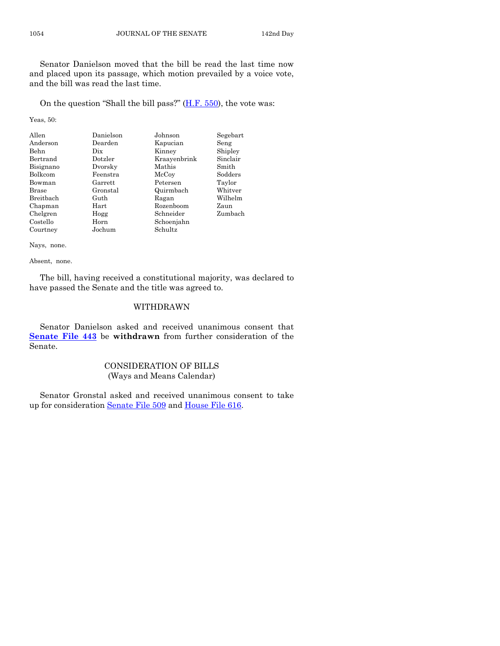Senator Danielson moved that the bill be read the last time now and placed upon its passage, which motion prevailed by a voice vote, and the bill was read the last time.

On the question "Shall the bill pass?" [\(H.F. 550\)](http://coolice.legis.iowa.gov/Cool-ICE/default.asp?Category=billinfo&Service=Billbook&frame=1&GA=86&hbill=HF550), the vote was:

Yeas, 50:

| Allen        | Danielson | Johnson      | Segebart |
|--------------|-----------|--------------|----------|
| Anderson     | Dearden   | Kapucian     | Seng     |
| Behn         | Dix       | Kinney       | Shipley  |
| Bertrand     | Dotzler   | Kraavenbrink | Sinclair |
| Bisignano    | Dvorsky   | Mathis       | Smith    |
| Bolkcom      | Feenstra  | McCoy        | Sodders  |
| Bowman       | Garrett   | Petersen     | Taylor   |
| <b>Brase</b> | Gronstal  | Quirmbach    | Whitver  |
| Breitbach    | Guth      | Ragan        | Wilhelm  |
| Chapman      | Hart      | Rozenboom    | Zaun     |
| Chelgren     | Hogg      | Schneider    | Zumbach  |
| Costello     | Horn      | Schoenjahn   |          |
| Courtney     | Jochum    | Schultz      |          |

Nays, none.

Absent, none.

The bill, having received a constitutional majority, was declared to have passed the Senate and the title was agreed to.

# WITHDRAWN

Senator Danielson asked and received unanimous consent that **[Senate File 443](http://coolice.legis.iowa.gov/Cool-ICE/default.asp?Category=billinfo&Service=Billbook&frame=1&GA=86&hbill=SF443)** be **withdrawn** from further consideration of the Senate.

# CONSIDERATION OF BILLS (Ways and Means Calendar)

Senator Gronstal asked and received unanimous consent to take up for consideration [Senate File 509](http://coolice.legis.iowa.gov/Cool-ICE/default.asp?Category=billinfo&Service=Billbook&frame=1&GA=86&hbill=SF509) and [House File 616.](http://coolice.legis.iowa.gov/Cool-ICE/default.asp?Category=billinfo&Service=Billbook&frame=1&GA=86&hbill=HF616)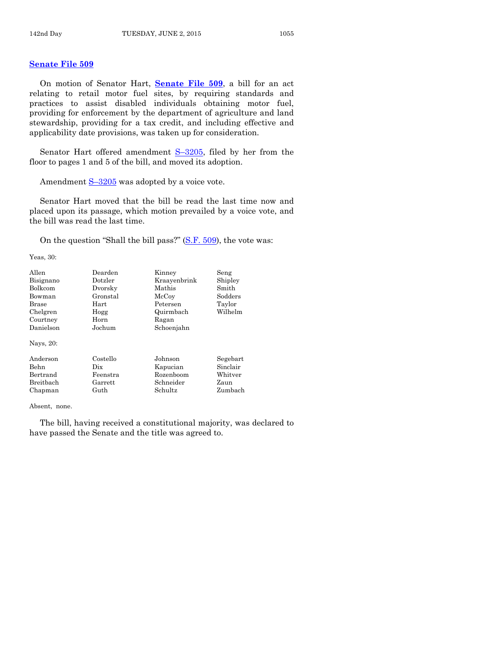#### **[Senate File 509](http://coolice.legis.iowa.gov/Cool-ICE/default.asp?Category=billinfo&Service=Billbook&frame=1&GA=86&hbill=SF509)**

On motion of Senator Hart, **[Senate File 509](http://coolice.legis.iowa.gov/Cool-ICE/default.asp?Category=billinfo&Service=Billbook&frame=1&GA=86&hbill=SF509)**, a bill for an act relating to retail motor fuel sites, by requiring standards and practices to assist disabled individuals obtaining motor fuel, providing for enforcement by the department of agriculture and land stewardship, providing for a tax credit, and including effective and applicability date provisions, was taken up for consideration.

Senator Hart offered amendment  $S-3205$ , filed by her from the floor to pages 1 and 5 of the bill, and moved its adoption.

Amendment  $S-3205$  $S-3205$  was adopted by a voice vote.

Senator Hart moved that the bill be read the last time now and placed upon its passage, which motion prevailed by a voice vote, and the bill was read the last time.

On the question "Shall the bill pass?" [\(S.F. 509\)](http://coolice.legis.iowa.gov/Cool-ICE/default.asp?Category=billinfo&Service=Billbook&frame=1&GA=86&hbill=SF509), the vote was:

Yeas, 30:

| Allen       | Dearden  | Kinney       | Seng     |
|-------------|----------|--------------|----------|
| Bisignano   | Dotzler  | Kraayenbrink | Shipley  |
| Bolkcom     | Dvorsky  | Mathis       | Smith    |
| Bowman      | Gronstal | McCoy        | Sodders  |
| Brase       | Hart     | Petersen     | Taylor   |
| Chelgren    | Hogg     | Quirmbach    | Wilhelm  |
| Courtney    | Horn     | Ragan        |          |
| Danielson   | Jochum   | Schoenjahn   |          |
| Nays, 20:   |          |              |          |
| Anderson    | Costello | Johnson      | Segebart |
| <b>Behn</b> | Dix      | Kapucian     | Sinclair |
| Bertrand    | Feenstra | Rozenboom    | Whitver  |
| Breitbach   | Garrett  | Schneider    | Zaun     |
| Chapman     | Guth     | Schultz      | Zumbach  |

Absent, none.

The bill, having received a constitutional majority, was declared to have passed the Senate and the title was agreed to.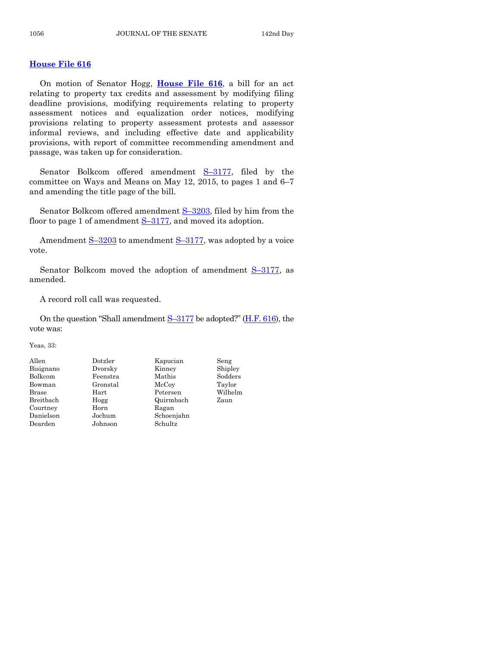#### **[House File 616](http://coolice.legis.iowa.gov/Cool-ICE/default.asp?Category=billinfo&Service=Billbook&frame=1&GA=86&hbill=HF616)**

On motion of Senator Hogg, **[House File 616](http://coolice.legis.iowa.gov/Cool-ICE/default.asp?Category=billinfo&Service=Billbook&frame=1&GA=86&hbill=HF616)**, a bill for an act relating to property tax credits and assessment by modifying filing deadline provisions, modifying requirements relating to property assessment notices and equalization order notices, modifying provisions relating to property assessment protests and assessor informal reviews, and including effective date and applicability provisions, with report of committee recommending amendment and passage, was taken up for consideration.

Senator Bolkcom offered amendment S–[3177,](http://coolice.legis.iowa.gov/Cool-ICE/default.asp?Category=billinfo&Service=Billbook&frame=1&GA=86&hbill=S3177) filed by the committee on Ways and Means on May 12, 2015, to pages 1 and 6–7 and amending the title page of the bill.

Senator Bolkcom offered amendment S-[3203,](http://coolice.legis.iowa.gov/Cool-ICE/default.asp?Category=billinfo&Service=Billbook&frame=1&GA=86&hbill=S3203) filed by him from the floor to page 1 of amendment S-[3177,](http://coolice.legis.iowa.gov/Cool-ICE/default.asp?Category=billinfo&Service=Billbook&frame=1&GA=86&hbill=S3177) and moved its adoption.

Amendment  $S-3203$  $S-3203$  to amendment  $S-3177$ , was adopted by a voice vote.

Senator Bolkcom moved the adoption of amendment S-[3177,](http://coolice.legis.iowa.gov/Cool-ICE/default.asp?Category=billinfo&Service=Billbook&frame=1&GA=86&hbill=S3177) as amended.

A record roll call was requested.

On the question "Shall amendment S–[3177](http://coolice.legis.iowa.gov/Cool-ICE/default.asp?Category=billinfo&Service=Billbook&frame=1&GA=86&hbill=S3177) be adopted?" [\(H.F. 616\)](http://coolice.legis.iowa.gov/Cool-ICE/default.asp?Category=billinfo&Service=Billbook&frame=1&GA=86&hbill=HF616), the vote was:

Yeas, 33:

| Allen     | Dotzler    | Kapucian   | Seng    |
|-----------|------------|------------|---------|
| Bisignano | Dvorsky    | Kinney     | Shipley |
| Bolkcom   | Feenstra   | Mathis     | Sodders |
| Bowman    | Gronstal   | McCoy      | Taylor  |
| Brase     | $\rm Hart$ | Petersen   | Wilhelm |
| Breitbach | Hogg       | Quirmbach  | Zaun    |
| Courtney  | Horn       | Ragan      |         |
| Danielson | Jochum     | Schoenjahn |         |
| Dearden   | Johnson    | Schultz    |         |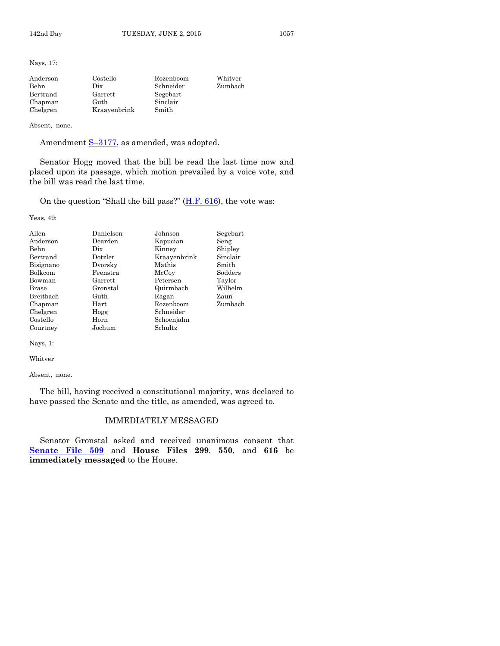Nays, 17:

| Anderson | Costello     | Rozenboom | Whitver |
|----------|--------------|-----------|---------|
| Behn     | Dix          | Schneider | Zumbach |
| Bertrand | Garrett      | Segebart  |         |
| Chapman  | Guth         | Sinclair  |         |
| Chelgren | Kraayenbrink | Smith     |         |

Absent, none.

Amendment S-[3177,](http://coolice.legis.iowa.gov/Cool-ICE/default.asp?Category=billinfo&Service=Billbook&frame=1&GA=86&hbill=S3177) as amended, was adopted.

Senator Hogg moved that the bill be read the last time now and placed upon its passage, which motion prevailed by a voice vote, and the bill was read the last time.

On the question "Shall the bill pass?"  $(H.F. 616)$ , the vote was:

Yeas, 49:

| Allen     | Danielson | Johnson      | Segebart |
|-----------|-----------|--------------|----------|
| Anderson  | Dearden   | Kapucian     | Seng     |
| Behn      | Dix       | Kinney       | Shipley  |
| Bertrand  | Dotzler   | Kraayenbrink | Sinclair |
| Bisignano | Dvorsky   | Mathis       | Smith    |
| Bolkcom   | Feenstra  | McCoy        | Sodders  |
| Bowman    | Garrett   | Petersen     | Taylor   |
| Brase     | Gronstal  | Quirmbach    | Wilhelm  |
| Breitbach | Guth      | Ragan        | Zaun     |
| Chapman   | Hart      | Rozenboom    | Zumbach  |
| Chelgren  | Hogg      | Schneider    |          |
| Costello  | Horn      | Schoenjahn   |          |
| Courtney  | Jochum    | Schultz      |          |

Nays, 1:

Whitver

Absent, none.

The bill, having received a constitutional majority, was declared to have passed the Senate and the title, as amended, was agreed to.

#### IMMEDIATELY MESSAGED

Senator Gronstal asked and received unanimous consent that **[Senate File 509](http://coolice.legis.iowa.gov/Cool-ICE/default.asp?Category=billinfo&Service=Billbook&frame=1&GA=86&hbill=SF509)** and **House Files 299**, **550**, and **616** be **immediately messaged** to the House.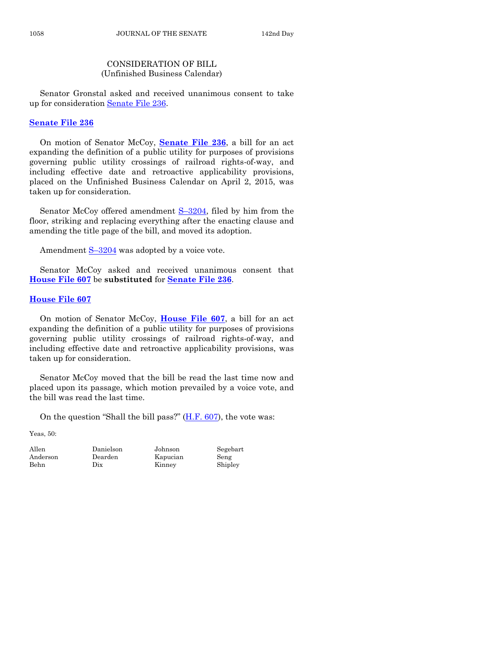# CONSIDERATION OF BILL (Unfinished Business Calendar)

Senator Gronstal asked and received unanimous consent to take up for consideration [Senate File 236.](http://coolice.legis.iowa.gov/Cool-ICE/default.asp?Category=billinfo&Service=Billbook&frame=1&GA=86&hbill=SF236)

## **[Senate File 236](http://coolice.legis.iowa.gov/Cool-ICE/default.asp?Category=billinfo&Service=Billbook&frame=1&GA=86&hbill=SF236)**

On motion of Senator McCoy, **[Senate File 236](http://coolice.legis.iowa.gov/Cool-ICE/default.asp?Category=billinfo&Service=Billbook&frame=1&GA=86&hbill=SF236)**, a bill for an act expanding the definition of a public utility for purposes of provisions governing public utility crossings of railroad rights-of-way, and including effective date and retroactive applicability provisions, placed on the Unfinished Business Calendar on April 2, 2015, was taken up for consideration.

Senator McCoy offered amendment  $S-3204$ , filed by him from the floor, striking and replacing everything after the enacting clause and amending the title page of the bill, and moved its adoption.

Amendment  $S-3204$  $S-3204$  was adopted by a voice vote.

Senator McCoy asked and received unanimous consent that **[House File 607](http://coolice.legis.iowa.gov/Cool-ICE/default.asp?Category=billinfo&Service=Billbook&frame=1&GA=86&hbill=HF607)** be **substituted** for **[Senate File 236](http://coolice.legis.iowa.gov/Cool-ICE/default.asp?Category=billinfo&Service=Billbook&frame=1&GA=86&hbill=SF236)**.

## **[House File 607](http://coolice.legis.iowa.gov/Cool-ICE/default.asp?Category=billinfo&Service=Billbook&frame=1&GA=86&hbill=HF607)**

On motion of Senator McCoy, **[House File 607](http://coolice.legis.iowa.gov/Cool-ICE/default.asp?Category=billinfo&Service=Billbook&frame=1&GA=86&hbill=HF607)**, a bill for an act expanding the definition of a public utility for purposes of provisions governing public utility crossings of railroad rights-of-way, and including effective date and retroactive applicability provisions, was taken up for consideration.

Senator McCoy moved that the bill be read the last time now and placed upon its passage, which motion prevailed by a voice vote, and the bill was read the last time.

On the question "Shall the bill pass?" [\(H.F. 607\)](http://coolice.legis.iowa.gov/Cool-ICE/default.asp?Category=billinfo&Service=Billbook&frame=1&GA=86&hbill=HF607), the vote was:

Yeas, 50:

Allen Danielson Johnson Segebart Anderson Dearden Kapucian Seng Behn Dix Kinney Shipley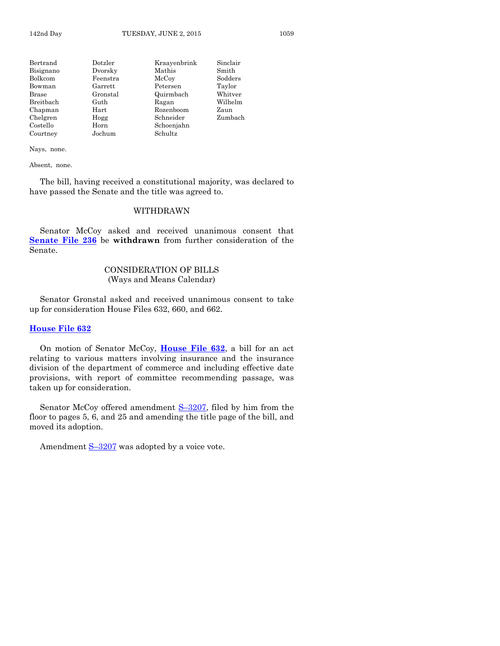| Dotzler  | Kraayenbrink | Sinclair |
|----------|--------------|----------|
| Dvorsky  | Mathis       | Smith    |
| Feenstra | McCoy        | Sodders  |
| Garrett  | Petersen     | Taylor   |
| Gronstal | Quirmbach    | Whitver  |
| Guth     | Ragan        | Wilhelm  |
| Hart     | Rozenboom    | Zaun     |
| Hogg     | Schneider    | Zumbach  |
| Horn     | Schoenjahn   |          |
| Jochum   | Schultz      |          |
|          |              |          |

Absent, none.

The bill, having received a constitutional majority, was declared to have passed the Senate and the title was agreed to.

#### WITHDRAWN

Senator McCoy asked and received unanimous consent that **[Senate File 236](http://coolice.legis.iowa.gov/Cool-ICE/default.asp?Category=billinfo&Service=Billbook&frame=1&GA=86&hbill=SF236)** be **withdrawn** from further consideration of the Senate.

# CONSIDERATION OF BILLS (Ways and Means Calendar)

Senator Gronstal asked and received unanimous consent to take up for consideration House Files 632, 660, and 662.

#### **[House File 632](http://coolice.legis.iowa.gov/Cool-ICE/default.asp?Category=billinfo&Service=Billbook&frame=1&GA=86&hbill=HF632)**

On motion of Senator McCoy, **[House File 632](http://coolice.legis.iowa.gov/Cool-ICE/default.asp?Category=billinfo&Service=Billbook&frame=1&GA=86&hbill=HF632)**, a bill for an act relating to various matters involving insurance and the insurance division of the department of commerce and including effective date provisions, with report of committee recommending passage, was taken up for consideration.

Senator McCoy offered amendment S-[3207,](http://coolice.legis.iowa.gov/Cool-ICE/default.asp?Category=billinfo&Service=Billbook&frame=1&GA=86&hbill=S3207) filed by him from the floor to pages 5, 6, and 25 and amending the title page of the bill, and moved its adoption.

Amendment  $S-3207$  $S-3207$  was adopted by a voice vote.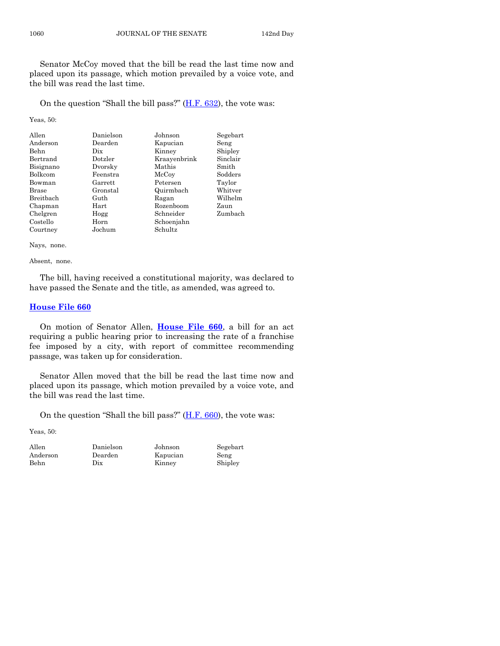Senator McCoy moved that the bill be read the last time now and placed upon its passage, which motion prevailed by a voice vote, and the bill was read the last time.

On the question "Shall the bill pass?"  $(H.F. 632)$ , the vote was:

Yeas, 50:

| Allen          | Danielson | Johnson      | Segebart |
|----------------|-----------|--------------|----------|
| Anderson       | Dearden   | Kapucian     | Seng     |
| Behn           | Dix       | Kinney       | Shipley  |
| Bertrand       | Dotzler   | Kraayenbrink | Sinclair |
| Bisignano      | Dvorsky   | Mathis       | Smith    |
| <b>Bolkcom</b> | Feenstra  | McCoy        | Sodders  |
| Bowman         | Garrett   | Petersen     | Taylor   |
| Brase          | Gronstal  | Quirmbach    | Whitver  |
| Breithach      | Guth      | Ragan        | Wilhelm  |
| Chapman        | Hart      | Rozenboom    | Zaun     |
| Chelgren       | Hogg      | Schneider    | Zumbach  |
| Costello       | Horn      | Schoenjahn   |          |
| Courtney       | Jochum    | Schultz      |          |

Nays, none.

Absent, none.

The bill, having received a constitutional majority, was declared to have passed the Senate and the title, as amended, was agreed to.

#### **[House File 660](http://coolice.legis.iowa.gov/Cool-ICE/default.asp?Category=billinfo&Service=Billbook&frame=1&GA=86&hbill=HF660)**

On motion of Senator Allen, **[House File 660](http://coolice.legis.iowa.gov/Cool-ICE/default.asp?Category=billinfo&Service=Billbook&frame=1&GA=86&hbill=HF660)**, a bill for an act requiring a public hearing prior to increasing the rate of a franchise fee imposed by a city, with report of committee recommending passage, was taken up for consideration.

Senator Allen moved that the bill be read the last time now and placed upon its passage, which motion prevailed by a voice vote, and the bill was read the last time.

On the question "Shall the bill pass?" [\(H.F. 660\)](http://coolice.legis.iowa.gov/Cool-ICE/default.asp?Category=billinfo&Service=Billbook&frame=1&GA=86&hbill=HF660), the vote was:

Yeas, 50:

| Allen    |
|----------|
| Andersor |
| Behn     |

Allen Danielson Johnson Segebart n Dearden Kapucian Seng Dix Kinney Shipley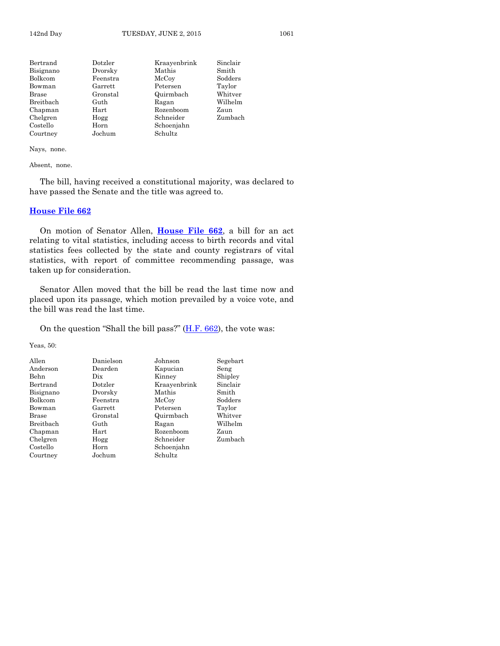| Dotzler    | Kraavenbrink | Sinclair |
|------------|--------------|----------|
| Dvorsky    | Mathis       | Smith    |
| Feenstra   | McCoy        | Sodders  |
| Garrett    | Petersen     | Taylor   |
| Gronstal   | Quirmbach    | Whitver  |
| Guth       | Ragan        | Wilhelm  |
| $\rm Hart$ | Rozenboom    | Zaun     |
| Hogg       | Schneider    | Zumbach  |
| Horn       | Schoenjahn   |          |
| Jochum     | Schultz      |          |
|            |              |          |

Absent, none.

The bill, having received a constitutional majority, was declared to have passed the Senate and the title was agreed to.

#### **[House File 662](http://coolice.legis.iowa.gov/Cool-ICE/default.asp?Category=billinfo&Service=Billbook&frame=1&GA=86&hbill=HF662)**

On motion of Senator Allen, **[House File 662](http://coolice.legis.iowa.gov/Cool-ICE/default.asp?Category=billinfo&Service=Billbook&frame=1&GA=86&hbill=HF662)**, a bill for an act relating to vital statistics, including access to birth records and vital statistics fees collected by the state and county registrars of vital statistics, with report of committee recommending passage, was taken up for consideration.

Senator Allen moved that the bill be read the last time now and placed upon its passage, which motion prevailed by a voice vote, and the bill was read the last time.

On the question "Shall the bill pass?"  $(H.F. 662)$ , the vote was:

Yeas, 50:

| Allen        | Danielson | Johnson      | Segebart |
|--------------|-----------|--------------|----------|
| Anderson     | Dearden   | Kapucian     | Seng     |
| Behn         | Dix       | Kinney       | Shipley  |
| Bertrand     | Dotzler   | Kraayenbrink | Sinclair |
| Bisignano    | Dvorsky   | Mathis       | Smith    |
| Bolkcom      | Feenstra  | McCoy        | Sodders  |
| Bowman       | Garrett   | Petersen     | Taylor   |
| <b>Brase</b> | Gronstal  | Quirmbach    | Whitver  |
| Breitbach    | Guth      | Ragan        | Wilhelm  |
| Chapman      | Hart      | Rozenboom    | Zaun     |
| Chelgren     | Hogg      | Schneider    | Zumbach  |
| Costello     | Horn      | Schoenjahn   |          |
| Courtney     | Jochum    | Schultz      |          |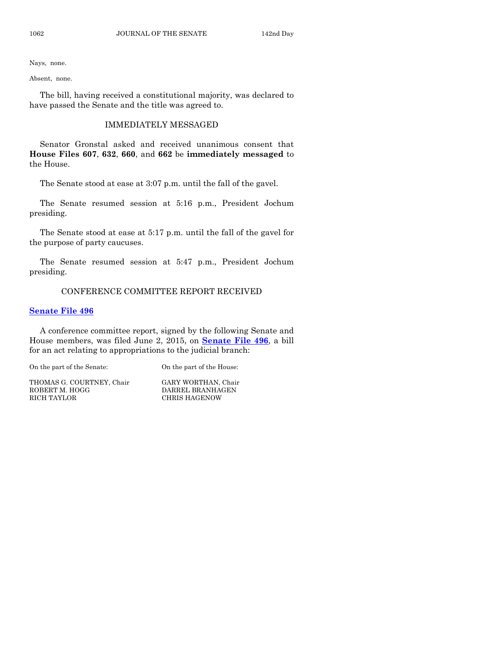Absent, none.

The bill, having received a constitutional majority, was declared to have passed the Senate and the title was agreed to.

### IMMEDIATELY MESSAGED

Senator Gronstal asked and received unanimous consent that **House Files 607**, **632**, **660**, and **662** be **immediately messaged** to the House.

The Senate stood at ease at 3:07 p.m. until the fall of the gavel.

The Senate resumed session at 5:16 p.m., President Jochum presiding.

The Senate stood at ease at 5:17 p.m. until the fall of the gavel for the purpose of party caucuses.

The Senate resumed session at 5:47 p.m., President Jochum presiding.

# CONFERENCE COMMITTEE REPORT RECEIVED

#### **[Senate File 496](http://coolice.legis.iowa.gov/Cool-ICE/default.asp?Category=billinfo&Service=Billbook&frame=1&GA=86&hbill=SF496)**

A conference committee report, signed by the following Senate and House members, was filed June 2, 2015, on **[Senate File 496](http://coolice.legis.iowa.gov/Cool-ICE/default.asp?Category=billinfo&Service=Billbook&frame=1&GA=86&hbill=SF496)**, a bill for an act relating to appropriations to the judicial branch:

On the part of the Senate: On the part of the House:

THOMAS G. COURTNEY, Chair GARY WORTHAN, Chair ROBERT M. HOGG DARREL BRANHAGEN RICH TAYLOR CHRIS HAGENOW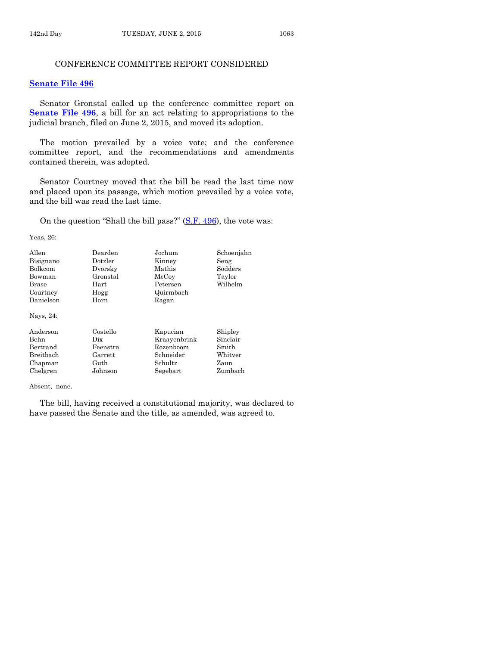## CONFERENCE COMMITTEE REPORT CONSIDERED

#### **[Senate File 496](http://coolice.legis.iowa.gov/Cool-ICE/default.asp?Category=billinfo&Service=Billbook&frame=1&GA=86&hbill=SF496)**

Senator Gronstal called up the conference committee report on **[Senate File 496](http://coolice.legis.iowa.gov/Cool-ICE/default.asp?Category=billinfo&Service=Billbook&frame=1&GA=86&hbill=SF496)**, a bill for an act relating to appropriations to the judicial branch, filed on June 2, 2015, and moved its adoption.

The motion prevailed by a voice vote; and the conference committee report, and the recommendations and amendments contained therein, was adopted.

Senator Courtney moved that the bill be read the last time now and placed upon its passage, which motion prevailed by a voice vote, and the bill was read the last time.

On the question "Shall the bill pass?" [\(S.F. 496\)](http://coolice.legis.iowa.gov/Cool-ICE/default.asp?Category=billinfo&Service=Billbook&frame=1&GA=86&hbill=SF496), the vote was:

Yeas, 26:

| Allen<br>Bisignano<br>Bolkcom | Dearden<br>Dotzler<br>Dvorsky | Jochum<br>Kinney<br>Mathis | Schoenjahn<br>Seng<br>Sodders |
|-------------------------------|-------------------------------|----------------------------|-------------------------------|
| Bowman                        | Gronstal                      | McCoy                      | Taylor                        |
| Brase                         | Hart                          | Petersen                   | Wilhelm                       |
| Courtney                      | Hogg                          | Quirmbach                  |                               |
| Danielson                     | Horn                          | Ragan                      |                               |
| Nays, 24:                     |                               |                            |                               |
| Anderson                      | Costello                      | Kapucian                   | Shipley                       |
| Behn                          | Dix                           | Kraayenbrink               | Sinclair                      |
| Bertrand                      | Feenstra                      | Rozenboom                  | Smith                         |
| Breitbach                     | Garrett                       | Schneider                  | Whitver                       |
| Chapman                       | Guth                          | <b>Schultz</b>             | Zaun                          |
| Chelgren                      | Johnson                       | Segebart                   | Zumbach                       |

Absent, none.

The bill, having received a constitutional majority, was declared to have passed the Senate and the title, as amended, was agreed to.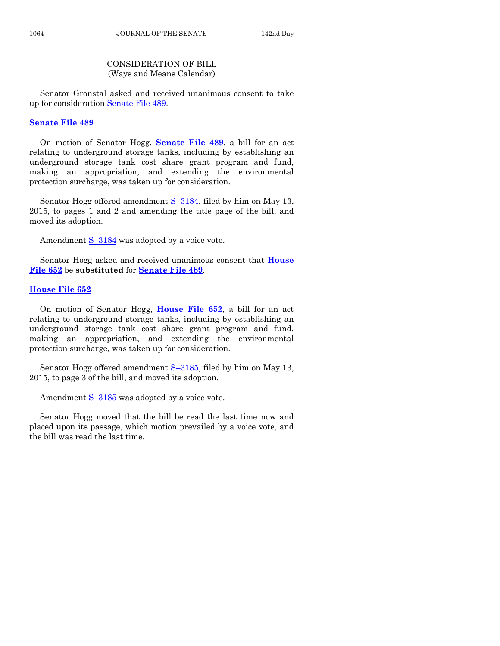# CONSIDERATION OF BILL (Ways and Means Calendar)

Senator Gronstal asked and received unanimous consent to take up for consideration [Senate File 489.](http://coolice.legis.iowa.gov/Cool-ICE/default.asp?Category=billinfo&Service=Billbook&frame=1&GA=86&hbill=SF489)

#### **[Senate File 489](http://coolice.legis.iowa.gov/Cool-ICE/default.asp?Category=billinfo&Service=Billbook&frame=1&GA=86&hbill=SF489)**

On motion of Senator Hogg, **[Senate File 489](http://coolice.legis.iowa.gov/Cool-ICE/default.asp?Category=billinfo&Service=Billbook&frame=1&GA=86&hbill=SF489)**, a bill for an act relating to underground storage tanks, including by establishing an underground storage tank cost share grant program and fund, making an appropriation, and extending the environmental protection surcharge, was taken up for consideration.

Senator Hogg offered amendment S-[3184,](http://coolice.legis.iowa.gov/Cool-ICE/default.asp?Category=billinfo&Service=Billbook&frame=1&GA=86&hbill=S3184) filed by him on May 13, 2015, to pages 1 and 2 and amending the title page of the bill, and moved its adoption.

Amendment S-[3184](http://coolice.legis.iowa.gov/Cool-ICE/default.asp?Category=billinfo&Service=Billbook&frame=1&GA=86&hbill=S3184) was adopted by a voice vote.

Senator Hogg asked and received unanimous consent that **[House](http://coolice.legis.iowa.gov/Cool-ICE/default.asp?Category=billinfo&Service=Billbook&frame=1&GA=86&hbill=HF652)  [File 652](http://coolice.legis.iowa.gov/Cool-ICE/default.asp?Category=billinfo&Service=Billbook&frame=1&GA=86&hbill=HF652)** be **substituted** for **[Senate File 489](http://coolice.legis.iowa.gov/Cool-ICE/default.asp?Category=billinfo&Service=Billbook&frame=1&GA=86&hbill=SF489)**.

# **[House File 652](http://coolice.legis.iowa.gov/Cool-ICE/default.asp?Category=billinfo&Service=Billbook&frame=1&GA=86&hbill=HF652)**

On motion of Senator Hogg, **[House File 652](http://coolice.legis.iowa.gov/Cool-ICE/default.asp?Category=billinfo&Service=Billbook&frame=1&GA=86&hbill=HF652)**, a bill for an act relating to underground storage tanks, including by establishing an underground storage tank cost share grant program and fund, making an appropriation, and extending the environmental protection surcharge, was taken up for consideration.

Senator Hogg offered amendment S-[3185,](http://coolice.legis.iowa.gov/Cool-ICE/default.asp?Category=billinfo&Service=Billbook&frame=1&GA=86&hbill=S3185) filed by him on May 13, 2015, to page 3 of the bill, and moved its adoption.

Amendment  $S-3185$  $S-3185$  was adopted by a voice vote.

Senator Hogg moved that the bill be read the last time now and placed upon its passage, which motion prevailed by a voice vote, and the bill was read the last time.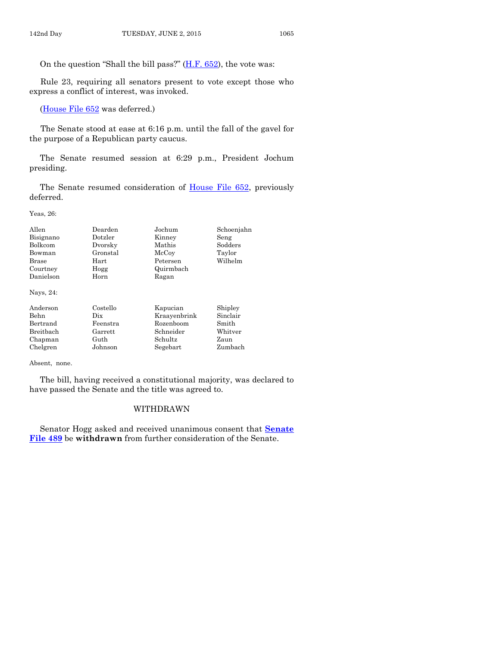On the question "Shall the bill pass?"  $(H.F. 652)$ , the vote was:

Rule 23, requiring all senators present to vote except those who express a conflict of interest, was invoked.

[\(House File 652](http://coolice.legis.iowa.gov/Cool-ICE/default.asp?Category=billinfo&Service=Billbook&frame=1&GA=86&hbill=HF652) was deferred.)

The Senate stood at ease at 6:16 p.m. until the fall of the gavel for the purpose of a Republican party caucus.

The Senate resumed session at 6:29 p.m., President Jochum presiding.

The Senate resumed consideration of [House File 652,](http://coolice.legis.iowa.gov/Cool-ICE/default.asp?Category=billinfo&Service=Billbook&frame=1&GA=86&hbill=HF652) previously deferred.

Yeas, 26:

| Allen        | Dearden  | Jochum       | Schoenjahn |
|--------------|----------|--------------|------------|
| Bisignano    | Dotzler  | Kinney       | Seng       |
| Bolkcom      | Dvorsky  | Mathis       | Sodders    |
| Bowman       | Gronstal | McCoy        | Taylor     |
| <b>Brase</b> | Hart     | Petersen     | Wilhelm    |
| Courtney     | Hogg     | Quirmbach    |            |
| Danielson    | Horn     | Ragan        |            |
| Nays, 24:    |          |              |            |
| Anderson     | Costello | Kapucian     | Shipley    |
| Behn         | Dix      | Kraayenbrink | Sinclair   |
| Bertrand     | Feenstra | Rozenboom    | Smith      |
| Breitbach    | Garrett  | Schneider    | Whitver    |
| Chapman      | Guth     | Schultz      | Zaun       |
| Chelgren     | Johnson  | Segebart     | Zumbach    |

Absent, none.

The bill, having received a constitutional majority, was declared to have passed the Senate and the title was agreed to.

# WITHDRAWN

Senator Hogg asked and received unanimous consent that **[Senate](http://coolice.legis.iowa.gov/Cool-ICE/default.asp?Category=billinfo&Service=Billbook&frame=1&GA=86&hbill=SF489)  [File 489](http://coolice.legis.iowa.gov/Cool-ICE/default.asp?Category=billinfo&Service=Billbook&frame=1&GA=86&hbill=SF489)** be **withdrawn** from further consideration of the Senate.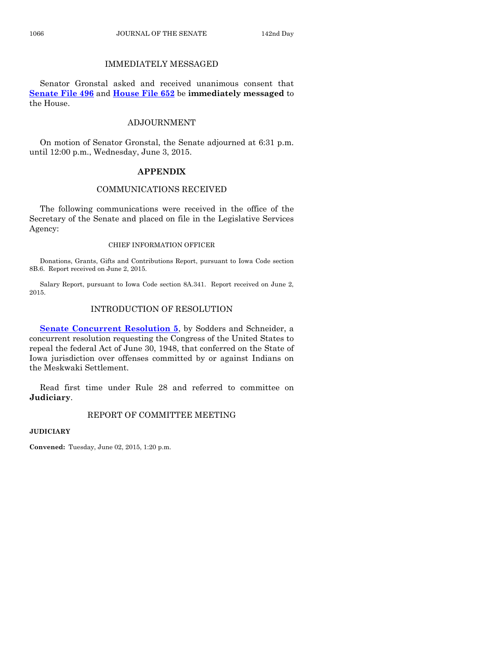# IMMEDIATELY MESSAGED

Senator Gronstal asked and received unanimous consent that **[Senate File 496](http://coolice.legis.iowa.gov/Cool-ICE/default.asp?Category=billinfo&Service=Billbook&frame=1&GA=86&hbill=SF496)** and **[House File 652](http://coolice.legis.iowa.gov/Cool-ICE/default.asp?Category=billinfo&Service=Billbook&frame=1&GA=86&hbill=HF652)** be **immediately messaged** to the House.

# ADJOURNMENT

On motion of Senator Gronstal, the Senate adjourned at 6:31 p.m. until 12:00 p.m., Wednesday, June 3, 2015.

# **APPENDIX**

# COMMUNICATIONS RECEIVED

The following communications were received in the office of the Secretary of the Senate and placed on file in the Legislative Services Agency:

#### CHIEF INFORMATION OFFICER

Donations, Grants, Gifts and Contributions Report, pursuant to Iowa Code section 8B.6. Report received on June 2, 2015.

Salary Report, pursuant to Iowa Code section 8A.341. Report received on June 2, 2015.

# INTRODUCTION OF RESOLUTION

**[Senate Concurrent Resolution 5](http://coolice.legis.iowa.gov/Cool-ICE/default.asp?Category=billinfo&Service=Billbook&frame=1&GA=86&hbill=SCR5)**, by Sodders and Schneider, a concurrent resolution requesting the Congress of the United States to repeal the federal Act of June 30, 1948, that conferred on the State of Iowa jurisdiction over offenses committed by or against Indians on the Meskwaki Settlement.

Read first time under Rule 28 and referred to committee on **Judiciary**.

# REPORT OF COMMITTEE MEETING

**JUDICIARY**

**Convened:** Tuesday, June 02, 2015, 1:20 p.m.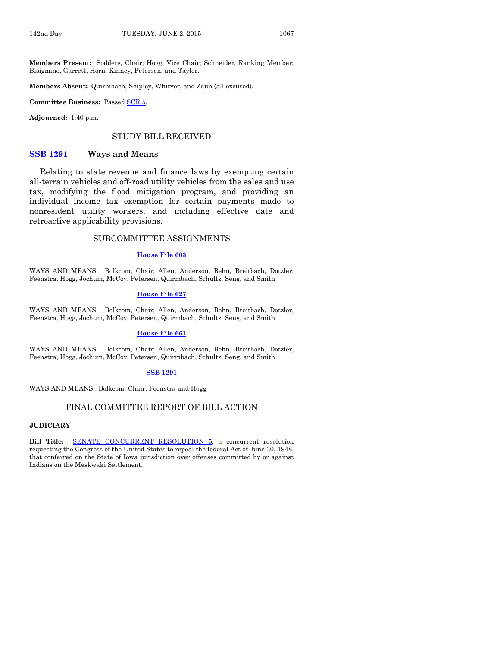**Members Present:** Sodders, Chair; Hogg, Vice Chair; Schneider, Ranking Member; Bisignano, Garrett, Horn, Kinney, Petersen, and Taylor.

**Members Absent:** Quirmbach, Shipley, Whitver, and Zaun (all excused).

**Committee Business:** Passed [SCR 5.](http://coolice.legis.iowa.gov/Cool-ICE/default.asp?Category=billinfo&Service=Billbook&frame=1&GA=86&hbill=SCR5)

**Adjourned:** 1:40 p.m.

#### STUDY BILL RECEIVED

#### **[SSB 1291](http://coolice.legis.iowa.gov/Cool-ICE/default.asp?Category=billinfo&Service=Billbook&frame=1&GA=86&hbill=SSB1291) Ways and Means**

Relating to state revenue and finance laws by exempting certain all-terrain vehicles and off-road utility vehicles from the sales and use tax, modifying the flood mitigation program, and providing an individual income tax exemption for certain payments made to nonresident utility workers, and including effective date and retroactive applicability provisions.

#### SUBCOMMITTEE ASSIGNMENTS

#### **[House File 603](http://coolice.legis.iowa.gov/Cool-ICE/default.asp?Category=billinfo&Service=Billbook&frame=1&GA=86&hbill=HF603)**

WAYS AND MEANS: Bolkcom, Chair; Allen, Anderson, Behn, Breitbach, Dotzler, Feenstra, Hogg, Jochum, McCoy, Petersen, Quirmbach, Schultz, Seng, and Smith

#### **[House File 627](http://coolice.legis.iowa.gov/Cool-ICE/default.asp?Category=billinfo&Service=Billbook&frame=1&GA=86&hbill=HF627)**

WAYS AND MEANS: Bolkcom, Chair; Allen, Anderson, Behn, Breitbach, Dotzler, Feenstra, Hogg, Jochum, McCoy, Petersen, Quirmbach, Schultz, Seng, and Smith

#### **[House File 661](http://coolice.legis.iowa.gov/Cool-ICE/default.asp?Category=billinfo&Service=Billbook&frame=1&GA=86&hbill=HF661)**

WAYS AND MEANS: Bolkcom, Chair; Allen, Anderson, Behn, Breitbach, Dotzler, Feenstra, Hogg, Jochum, McCoy, Petersen, Quirmbach, Schultz, Seng, and Smith

#### **[SSB 1291](http://coolice.legis.iowa.gov/Cool-ICE/default.asp?Category=billinfo&Service=Billbook&frame=1&GA=86&hbill=SSB1291)**

WAYS AND MEANS: Bolkcom, Chair; Feenstra and Hogg

#### FINAL COMMITTEE REPORT OF BILL ACTION

#### **JUDICIARY**

**Bill Title:** [SENATE CONCURRENT RESOLUTION](http://coolice.legis.iowa.gov/Cool-ICE/default.asp?Category=billinfo&Service=Billbook&frame=1&GA=86&hbill=SCR5) 5, a concurrent resolution requesting the Congress of the United States to repeal the federal Act of June 30, 1948, that conferred on the State of Iowa jurisdiction over offenses committed by or against Indians on the Meskwaki Settlement.